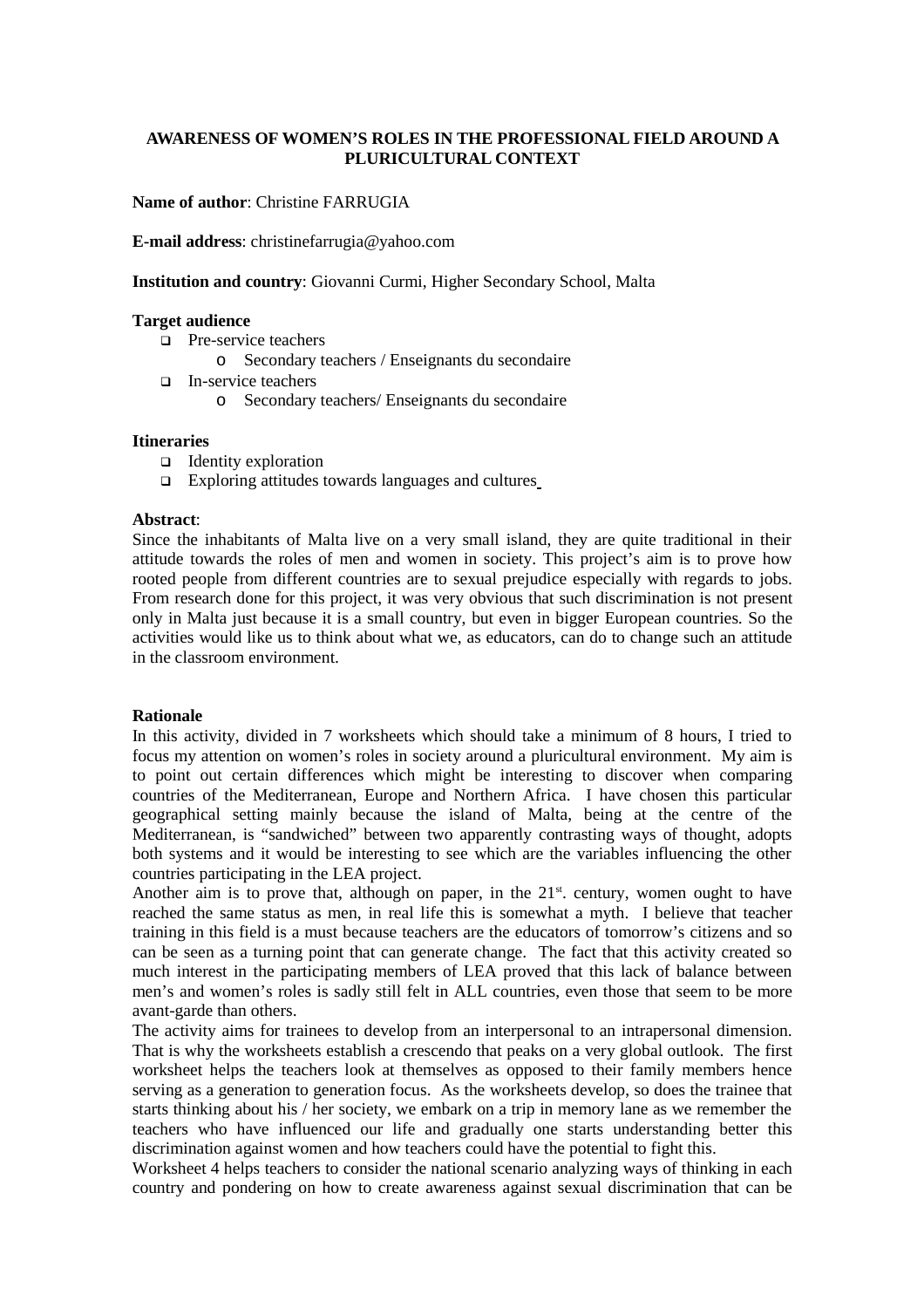#### **AWARENESS OF WOMEN'S ROLES IN THE PROFESSIONAL FIELD AROUND A PLURICULTURAL CONTEXT**

**Name of author**: Christine FARRUGIA

**E-mail address**: christinefarrugia@yahoo.com

**Institution and country**: Giovanni Curmi, Higher Secondary School, Malta

#### **Target audience**

- **Pre-service teachers** 
	- o Secondary teachers / Enseignants du secondaire
- In-service teachers
	- o Secondary teachers/ Enseignants du secondaire

#### **Itineraries**

- $\Box$  Identity exploration
- $\Box$  Exploring attitudes towards languages and cultures

#### **Abstract**:

Since the inhabitants of Malta live on a very small island, they are quite traditional in their attitude towards the roles of men and women in society. This project's aim is to prove how rooted people from different countries are to sexual prejudice especially with regards to jobs. From research done for this project, it was very obvious that such discrimination is not present only in Malta just because it is a small country, but even in bigger European countries. So the activities would like us to think about what we, as educators, can do to change such an attitude in the classroom environment.

#### **Rationale**

In this activity, divided in 7 worksheets which should take a minimum of 8 hours, I tried to focus my attention on women's roles in society around a pluricultural environment. My aim is to point out certain differences which might be interesting to discover when comparing countries of the Mediterranean, Europe and Northern Africa. I have chosen this particular geographical setting mainly because the island of Malta, being at the centre of the Mediterranean, is "sandwiched" between two apparently contrasting ways of thought, adopts both systems and it would be interesting to see which are the variables influencing the other countries participating in the LEA project.

Another aim is to prove that, although on paper, in the  $21<sup>st</sup>$  century, women ought to have reached the same status as men, in real life this is somewhat a myth. I believe that teacher training in this field is a must because teachers are the educators of tomorrow's citizens and so can be seen as a turning point that can generate change. The fact that this activity created so much interest in the participating members of LEA proved that this lack of balance between men's and women's roles is sadly still felt in ALL countries, even those that seem to be more avant-garde than others.

The activity aims for trainees to develop from an interpersonal to an intrapersonal dimension. That is why the worksheets establish a crescendo that peaks on a very global outlook. The first worksheet helps the teachers look at themselves as opposed to their family members hence serving as a generation to generation focus. As the worksheets develop, so does the trainee that starts thinking about his / her society, we embark on a trip in memory lane as we remember the teachers who have influenced our life and gradually one starts understanding better this discrimination against women and how teachers could have the potential to fight this.

Worksheet 4 helps teachers to consider the national scenario analyzing ways of thinking in each country and pondering on how to create awareness against sexual discrimination that can be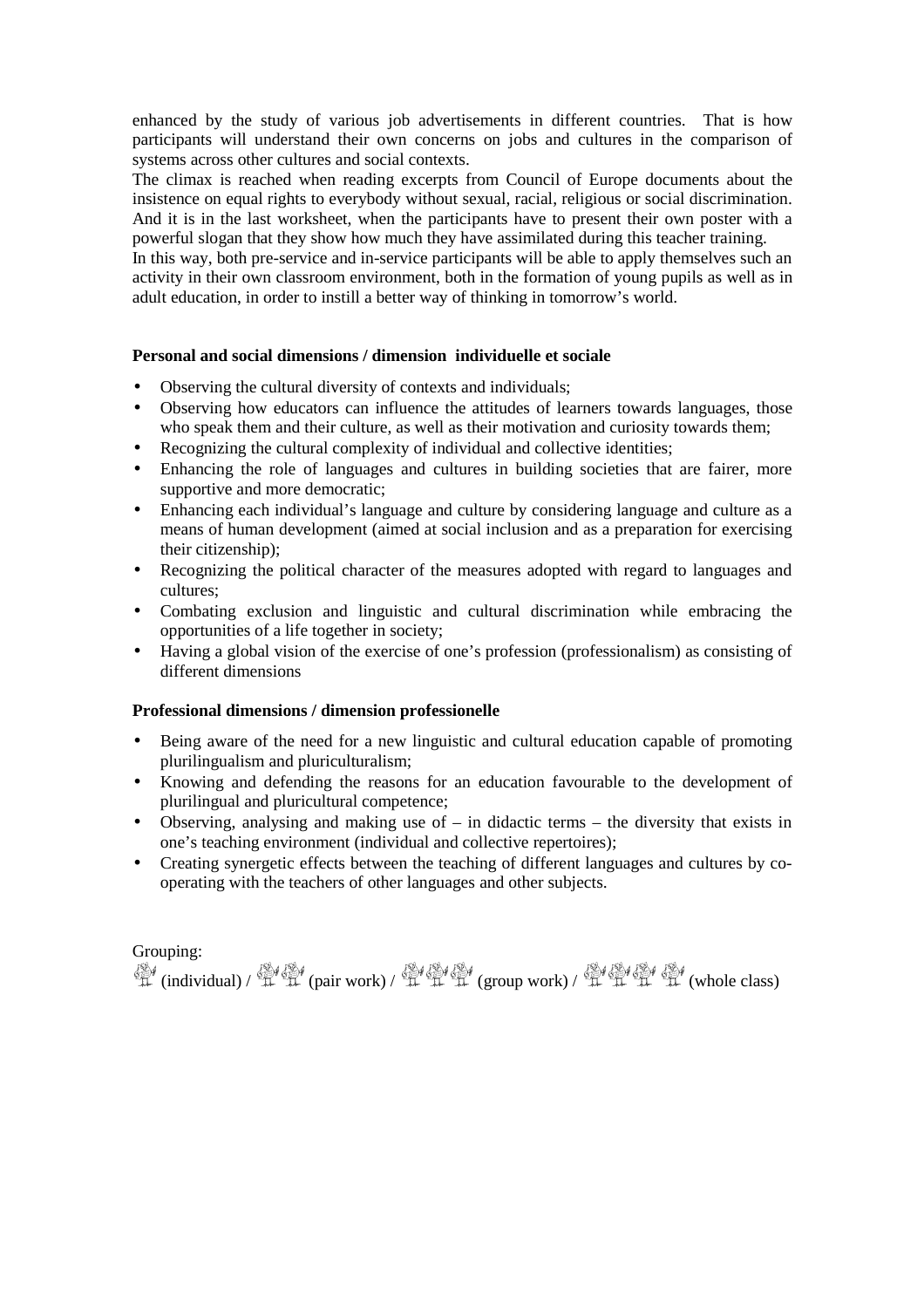enhanced by the study of various job advertisements in different countries. That is how participants will understand their own concerns on jobs and cultures in the comparison of systems across other cultures and social contexts.

The climax is reached when reading excerpts from Council of Europe documents about the insistence on equal rights to everybody without sexual, racial, religious or social discrimination. And it is in the last worksheet, when the participants have to present their own poster with a powerful slogan that they show how much they have assimilated during this teacher training.

In this way, both pre-service and in-service participants will be able to apply themselves such an activity in their own classroom environment, both in the formation of young pupils as well as in adult education, in order to instill a better way of thinking in tomorrow's world.

#### **Personal and social dimensions / dimension individuelle et sociale**

- Observing the cultural diversity of contexts and individuals;
- Observing how educators can influence the attitudes of learners towards languages, those who speak them and their culture, as well as their motivation and curiosity towards them;
- Recognizing the cultural complexity of individual and collective identities;
- Enhancing the role of languages and cultures in building societies that are fairer, more supportive and more democratic;
- Enhancing each individual's language and culture by considering language and culture as a means of human development (aimed at social inclusion and as a preparation for exercising their citizenship);
- Recognizing the political character of the measures adopted with regard to languages and cultures;
- Combating exclusion and linguistic and cultural discrimination while embracing the opportunities of a life together in society;
- Having a global vision of the exercise of one's profession (professionalism) as consisting of different dimensions

#### **Professional dimensions / dimension professionelle**

- Being aware of the need for a new linguistic and cultural education capable of promoting plurilingualism and pluriculturalism;
- Knowing and defending the reasons for an education favourable to the development of plurilingual and pluricultural competence;
- Observing, analysing and making use of in didactic terms the diversity that exists in one's teaching environment (individual and collective repertoires);
- Creating synergetic effects between the teaching of different languages and cultures by cooperating with the teachers of other languages and other subjects.

#### Grouping:

學(individual) / 章 章 (pair work) / 章 章 章 (group work) / 章 章 章 章 (whole class)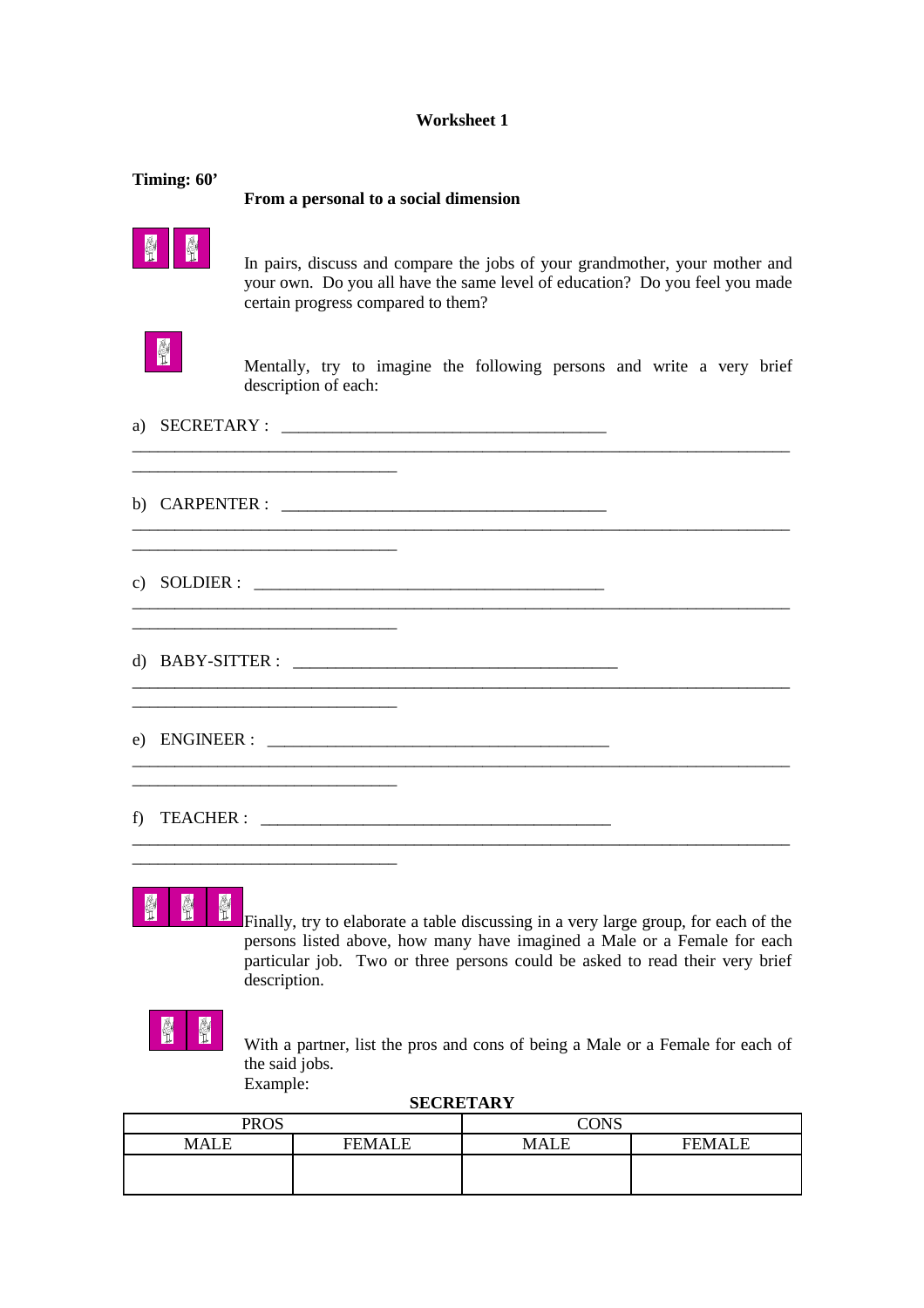#### **Worksheet 1**

| Timing: 60'       | From a personal to a social dimension                                                                                                                                                            |
|-------------------|--------------------------------------------------------------------------------------------------------------------------------------------------------------------------------------------------|
| $\mathbb{N}$<br>H | In pairs, discuss and compare the jobs of your grandmother, your mother and<br>your own. Do you all have the same level of education? Do you feel you made<br>certain progress compared to them? |
| H                 | Mentally, try to imagine the following persons and write a very brief<br>description of each:                                                                                                    |
| a)                |                                                                                                                                                                                                  |
|                   | c) SOLDIER : $\qquad \qquad$                                                                                                                                                                     |
|                   |                                                                                                                                                                                                  |
|                   |                                                                                                                                                                                                  |
| f)                |                                                                                                                                                                                                  |
|                   |                                                                                                                                                                                                  |

#### 會 會 H

Finally, try to elaborate a table discussing in a very large group, for each of the persons listed above, how many have imagined a Male or a Female for each particular job. Two or three persons could be asked to read their very brief description.

With a partner, list the pros and cons of being a Male or a Female for each of the said jobs. Example:

**SECRETARY**

| <b>PROS</b> |               | <b>CONS</b> |               |
|-------------|---------------|-------------|---------------|
| <b>MALE</b> | <b>FEMALE</b> | MALE        | <b>FEMALE</b> |
|             |               |             |               |
|             |               |             |               |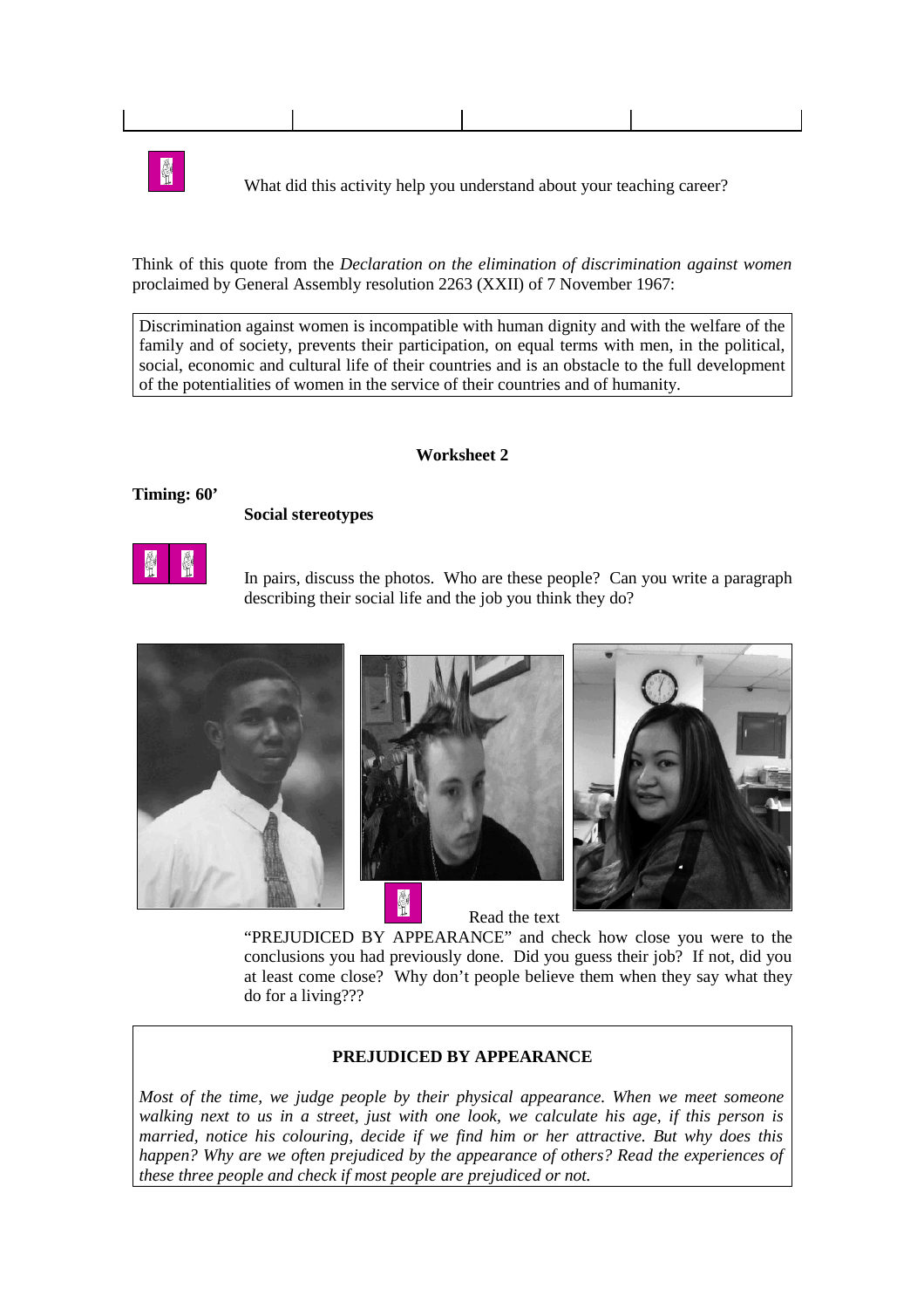

**The same of the What did this activity help you understand about your teaching career?** 

Think of this quote from the *Declaration on the elimination of discrimination against women* proclaimed by General Assembly resolution 2263 (XXII) of 7 November 1967:

Discrimination against women is incompatible with human dignity and with the welfare of the family and of society, prevents their participation, on equal terms with men, in the political, social, economic and cultural life of their countries and is an obstacle to the full development of the potentialities of women in the service of their countries and of humanity.

#### **Worksheet 2**

**Timing: 60'**

#### **Social stereotypes**



In pairs, discuss the photos. Who are these people? Can you write a paragraph describing their social life and the job you think they do?



Read the text

"PREJUDICED BY APPEARANCE" and check how close you were to the conclusions you had previously done. Did you guess their job? If not, did you at least come close? Why don't people believe them when they say what they do for a living???

#### **PREJUDICED BY APPEARANCE**

*Most of the time, we judge people by their physical appearance. When we meet someone walking next to us in a street, just with one look, we calculate his age, if this person is married, notice his colouring, decide if we find him or her attractive. But why does this happen? Why are we often prejudiced by the appearance of others? Read the experiences of these three people and check if most people are prejudiced or not.*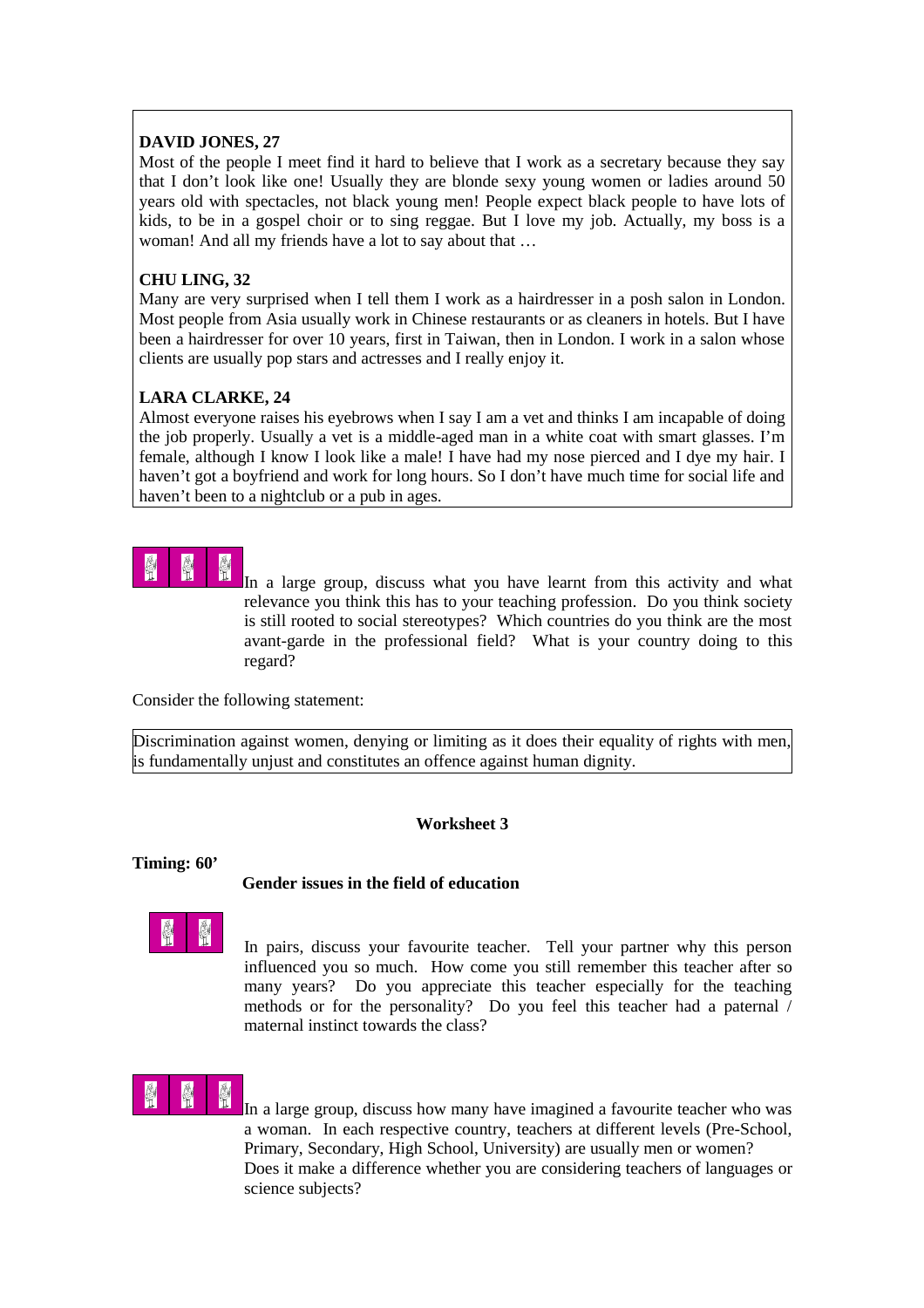### **DAVID JONES, 27**

Most of the people I meet find it hard to believe that I work as a secretary because they say that I don't look like one! Usually they are blonde sexy young women or ladies around 50 years old with spectacles, not black young men! People expect black people to have lots of kids, to be in a gospel choir or to sing reggae. But I love my job. Actually, my boss is a woman! And all my friends have a lot to say about that …

### **CHU LING, 32**

Many are very surprised when I tell them I work as a hairdresser in a posh salon in London. Most people from Asia usually work in Chinese restaurants or as cleaners in hotels. But I have been a hairdresser for over 10 years, first in Taiwan, then in London. I work in a salon whose clients are usually pop stars and actresses and I really enjoy it.

## **LARA CLARKE, 24**

Almost everyone raises his eyebrows when I say I am a vet and thinks I am incapable of doing the job properly. Usually a vet is a middle-aged man in a white coat with smart glasses. I'm female, although I know I look like a male! I have had my nose pierced and I dye my hair. I haven't got a boyfriend and work for long hours. So I don't have much time for social life and haven't been to a nightclub or a pub in ages.

In a large group, discuss what you have learnt from this activity and what relevance you think this has to your teaching profession. Do you think society is still rooted to social stereotypes? Which countries do you think are the most avant-garde in the professional field? What is your country doing to this regard?

Consider the following statement:

Discrimination against women, denying or limiting as it does their equality of rights with men, is fundamentally unjust and constitutes an offence against human dignity.

### **Worksheet 3**

#### **Timing: 60'**

### **Gender issues in the field of education**



In pairs, discuss your favourite teacher. Tell your partner why this person influenced you so much. How come you still remember this teacher after so many years? Do you appreciate this teacher especially for the teaching methods or for the personality? Do you feel this teacher had a paternal / maternal instinct towards the class?



In a large group, discuss how many have imagined a favourite teacher who was a woman. In each respective country, teachers at different levels (Pre-School, Primary, Secondary, High School, University) are usually men or women? Does it make a difference whether you are considering teachers of languages or science subjects?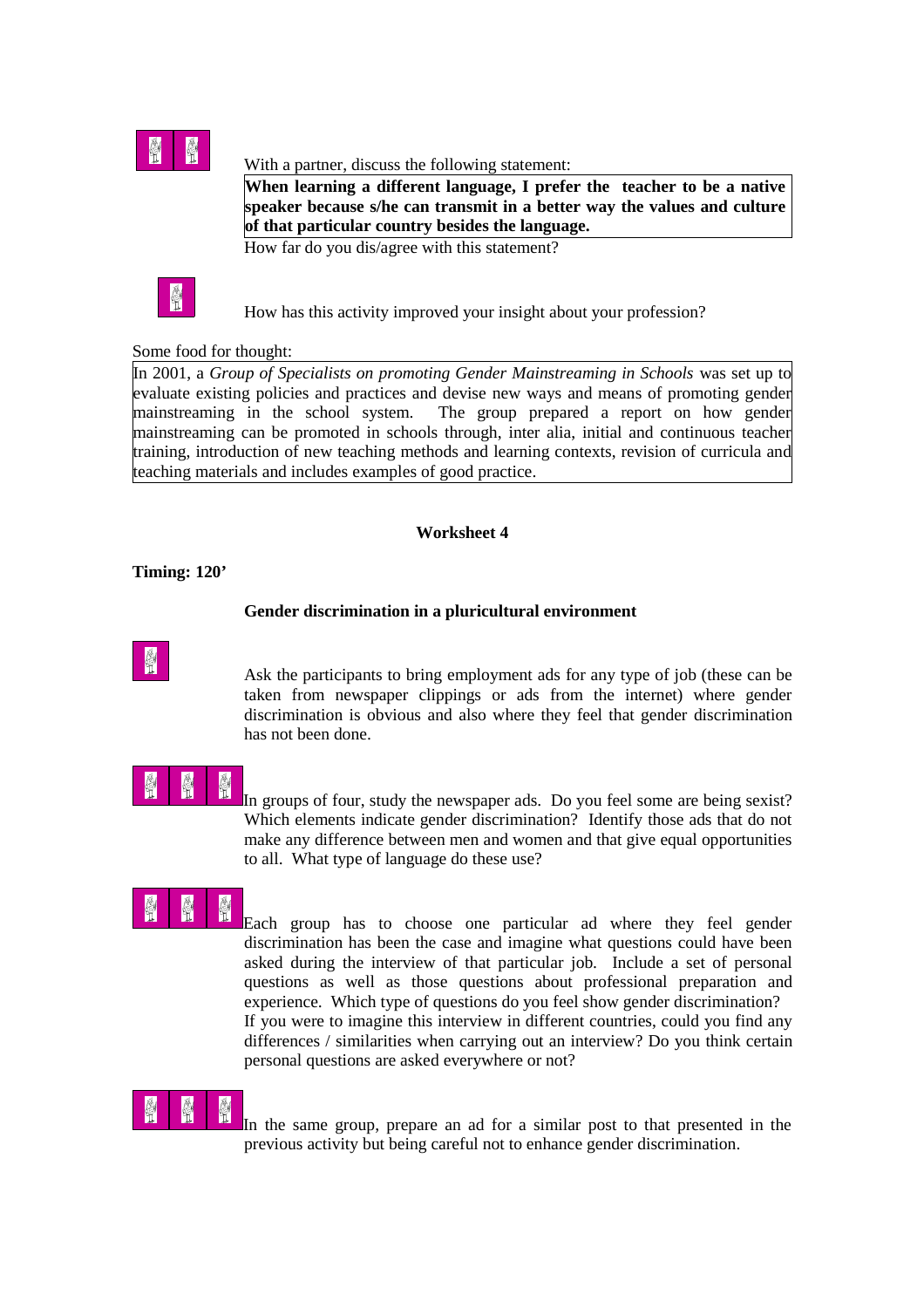

#### With a partner, discuss the following statement:

**When learning a different language, I prefer the teacher to be a native speaker because s/he can transmit in a better way the values and culture of that particular country besides the language.**

How far do you dis/agree with this statement?



How has this activity improved your insight about your profession?

### Some food for thought:

In 2001, a *Group of Specialists on promoting Gender Mainstreaming in Schools* was set up to evaluate existing policies and practices and devise new ways and means of promoting gender mainstreaming in the school system. The group prepared a report on how gender mainstreaming can be promoted in schools through, inter alia, initial and continuous teacher training, introduction of new teaching methods and learning contexts, revision of curricula and teaching materials and includes examples of good practice.

#### **Worksheet 4**

#### **Timing: 120'**

### **Gender discrimination in a pluricultural environment**



Ask the participants to bring employment ads for any type of job (these can be taken from newspaper clippings or ads from the internet) where gender discrimination is obvious and also where they feel that gender discrimination has not been done.

In groups of four, study the newspaper ads. Do you feel some are being sexist? Which elements indicate gender discrimination? Identify those ads that do not make any difference between men and women and that give equal opportunities to all. What type of language do these use?

Each group has to choose one particular ad where they feel gender discrimination has been the case and imagine what questions could have been asked during the interview of that particular job. Include a set of personal questions as well as those questions about professional preparation and experience. Which type of questions do you feel show gender discrimination? If you were to imagine this interview in different countries, could you find any differences / similarities when carrying out an interview? Do you think certain personal questions are asked everywhere or not?



In the same group, prepare an ad for a similar post to that presented in the previous activity but being careful not to enhance gender discrimination.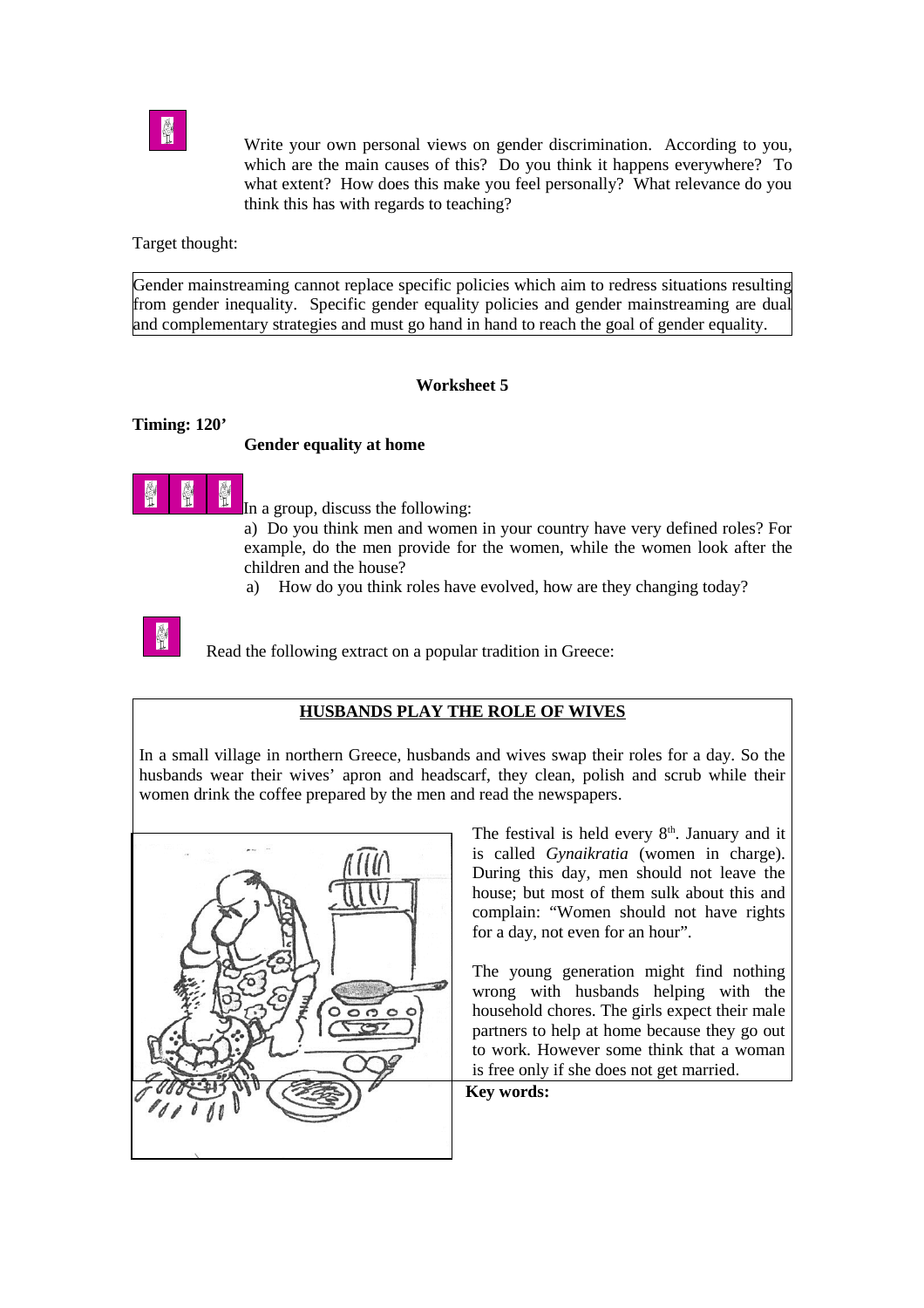

**THE**<br> **EXECUTE:** Write your own personal views on gender discrimination. According to you, which are the main causes of this? Do you think it happens everywhere? To what extent? How does this make you feel personally? What relevance do you think this has with regards to teaching?

Target thought:

Gender mainstreaming cannot replace specific policies which aim to redress situations resulting from gender inequality. Specific gender equality policies and gender mainstreaming are dual and complementary strategies and must go hand in hand to reach the goal of gender equality.

### **Worksheet 5**

#### **Timing: 120'**

### **Gender equality at home**



In a group, discuss the following:

a) Do you think men and women in your country have very defined roles? For example, do the men provide for the women, while the women look after the children and the house?

a) How do you think roles have evolved, how are they changing today?



Read the following extract on a popular tradition in Greece:

### **HUSBANDS PLAY THE ROLE OF WIVES**

In a small village in northern Greece, husbands and wives swap their roles for a day. So the husbands wear their wives' apron and headscarf, they clean, polish and scrub while their women drink the coffee prepared by the men and read the newspapers.



The festival is held every  $8<sup>th</sup>$ . January and it is called *Gynaikratia* (women in charge). During this day, men should not leave the house; but most of them sulk about this and complain: "Women should not have rights for a day, not even for an hour".

The young generation might find nothing wrong with husbands helping with the household chores. The girls expect their male partners to help at home because they go out to work. However some think that a woman is free only if she does not get married.

### **Key words:**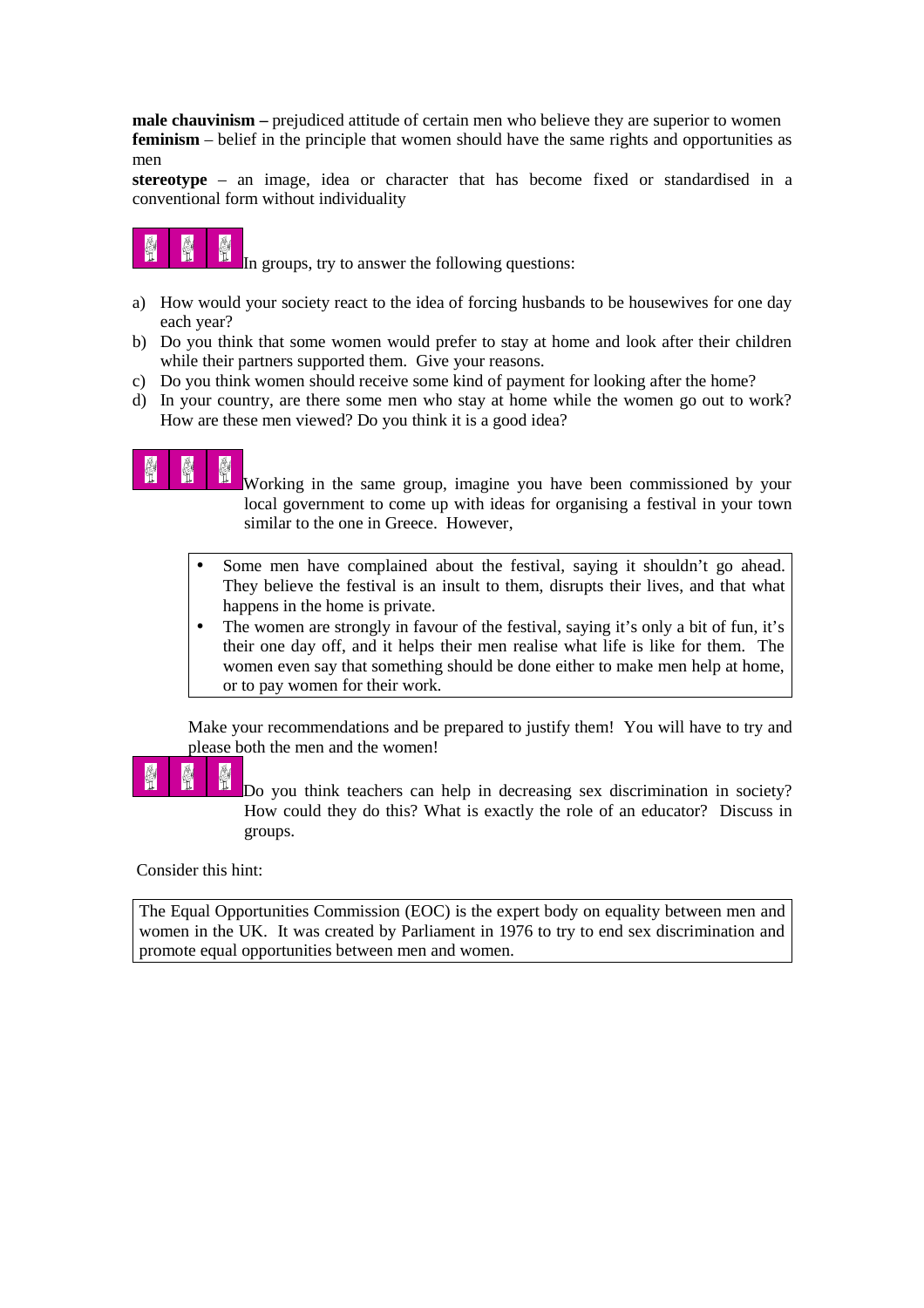**male chauvinism** – prejudiced attitude of certain men who believe they are superior to women **feminism** – belief in the principle that women should have the same rights and opportunities as men

**stereotype** – an image, idea or character that has become fixed or standardised in a conventional form without individuality



In groups, try to answer the following questions:

- a) How would your society react to the idea of forcing husbands to be housewives for one day each year?
- b) Do you think that some women would prefer to stay at home and look after their children while their partners supported them. Give your reasons.
- c) Do you think women should receive some kind of payment for looking after the home?
- d) In your country, are there some men who stay at home while the women go out to work? How are these men viewed? Do you think it is a good idea?

Working in the same group, imagine you have been commissioned by your local government to come up with ideas for organising a festival in your town similar to the one in Greece. However,

- Some men have complained about the festival, saying it shouldn't go ahead. They believe the festival is an insult to them, disrupts their lives, and that what happens in the home is private.
- The women are strongly in favour of the festival, saying it's only a bit of fun, it's their one day off, and it helps their men realise what life is like for them. The women even say that something should be done either to make men help at home, or to pay women for their work.

Make your recommendations and be prepared to justify them! You will have to try and please both the men and the women!

會

Do you think teachers can help in decreasing sex discrimination in society? How could they do this? What is exactly the role of an educator? Discuss in groups.

Consider this hint:

The Equal Opportunities Commission (EOC) is the expert body on equality between men and women in the UK. It was created by Parliament in 1976 to try to end sex discrimination and promote equal opportunities between men and women.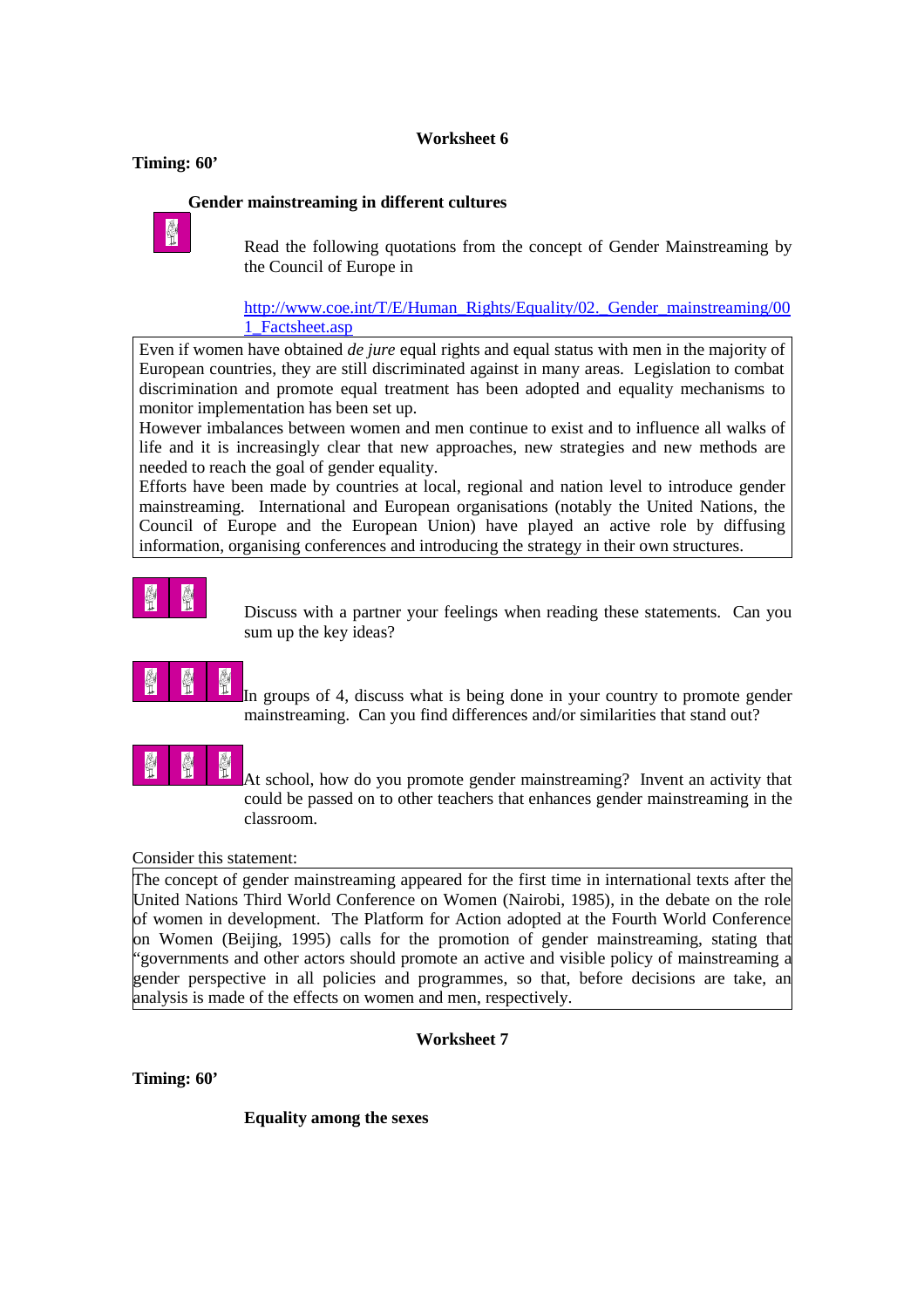### **Worksheet 6**

#### **Timing: 60'**

### **Gender mainstreaming in different cultures**



 $\frac{R}{2}$  Read the following quotations from the concept of Gender Mainstreaming by the Council of Europe in

#### http://www.coe.int/T/E/Human\_Rights/Equality/02. Gender\_mainstreaming/00 1\_Factsheet.asp

Even if women have obtained *de jure* equal rights and equal status with men in the majority of European countries, they are still discriminated against in many areas. Legislation to combat discrimination and promote equal treatment has been adopted and equality mechanisms to monitor implementation has been set up.

However imbalances between women and men continue to exist and to influence all walks of life and it is increasingly clear that new approaches, new strategies and new methods are needed to reach the goal of gender equality.

Efforts have been made by countries at local, regional and nation level to introduce gender mainstreaming. International and European organisations (notably the United Nations, the Council of Europe and the European Union) have played an active role by diffusing information, organising conferences and introducing the strategy in their own structures.

Discuss with a partner your feelings when reading these statements. Can you sum up the key ideas?

# $\frac{1}{2}$

In groups of 4, discuss what is being done in your country to promote gender mainstreaming. Can you find differences and/or similarities that stand out?



At school, how do you promote gender mainstreaming? Invent an activity that could be passed on to other teachers that enhances gender mainstreaming in the classroom.

### Consider this statement:

The concept of gender mainstreaming appeared for the first time in international texts after the United Nations Third World Conference on Women (Nairobi, 1985), in the debate on the role of women in development. The Platform for Action adopted at the Fourth World Conference on Women (Beijing, 1995) calls for the promotion of gender mainstreaming, stating that "governments and other actors should promote an active and visible policy of mainstreaming a gender perspective in all policies and programmes, so that, before decisions are take, an analysis is made of the effects on women and men, respectively.

**Worksheet 7**

**Timing: 60'**

**Equality among the sexes**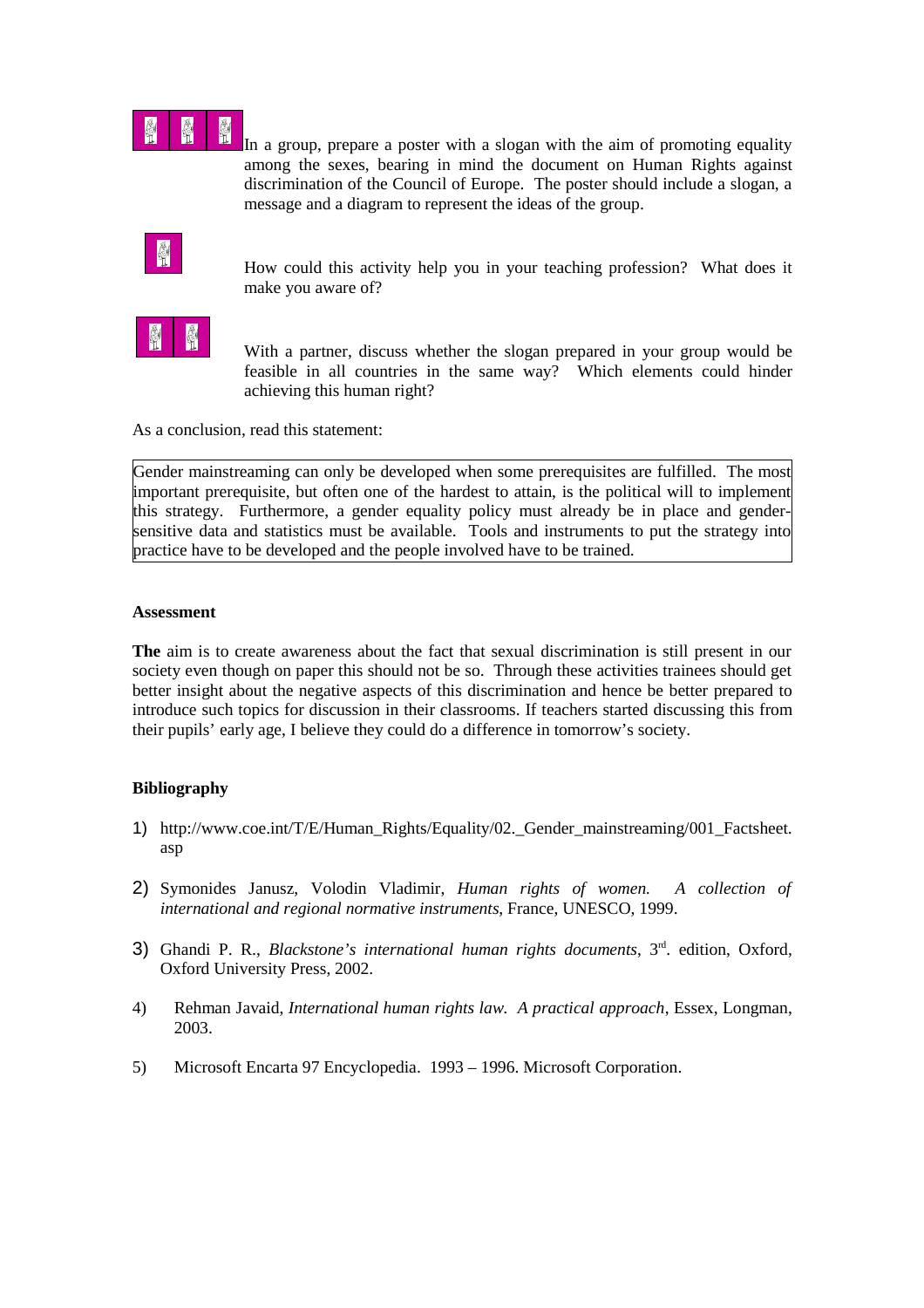

In a group, prepare a poster with a slogan with the aim of promoting equality among the sexes, bearing in mind the document on Human Rights against discrimination of the Council of Europe. The poster should include a slogan, a message and a diagram to represent the ideas of the group.

How could this activity help you in your teaching profession? What does it make you aware of?



 With a partner, discuss whether the slogan prepared in your group would be feasible in all countries in the same way? Which elements could hinder achieving this human right?

As a conclusion, read this statement:

Gender mainstreaming can only be developed when some prerequisites are fulfilled. The most important prerequisite, but often one of the hardest to attain, is the political will to implement this strategy. Furthermore, a gender equality policy must already be in place and gendersensitive data and statistics must be available. Tools and instruments to put the strategy into practice have to be developed and the people involved have to be trained.

#### **Assessment**

**The** aim is to create awareness about the fact that sexual discrimination is still present in our society even though on paper this should not be so. Through these activities trainees should get better insight about the negative aspects of this discrimination and hence be better prepared to introduce such topics for discussion in their classrooms. If teachers started discussing this from their pupils' early age, I believe they could do a difference in tomorrow's society.

#### **Bibliography**

- 1) http://www.coe.int/T/E/Human\_Rights/Equality/02.\_Gender\_mainstreaming/001\_Factsheet. asp
- 2) Symonides Janusz, Volodin Vladimir, *Human rights of women. A collection of international and regional normative instruments*, France, UNESCO, 1999.
- 3) Ghandi P. R., *Blackstone's international human rights documents*, 3<sup>rd</sup>. edition, Oxford, Oxford University Press, 2002.
- 4) Rehman Javaid, *International human rights law. A practical approach*, Essex, Longman, 2003.
- 5) Microsoft Encarta 97 Encyclopedia. 1993 1996. Microsoft Corporation.